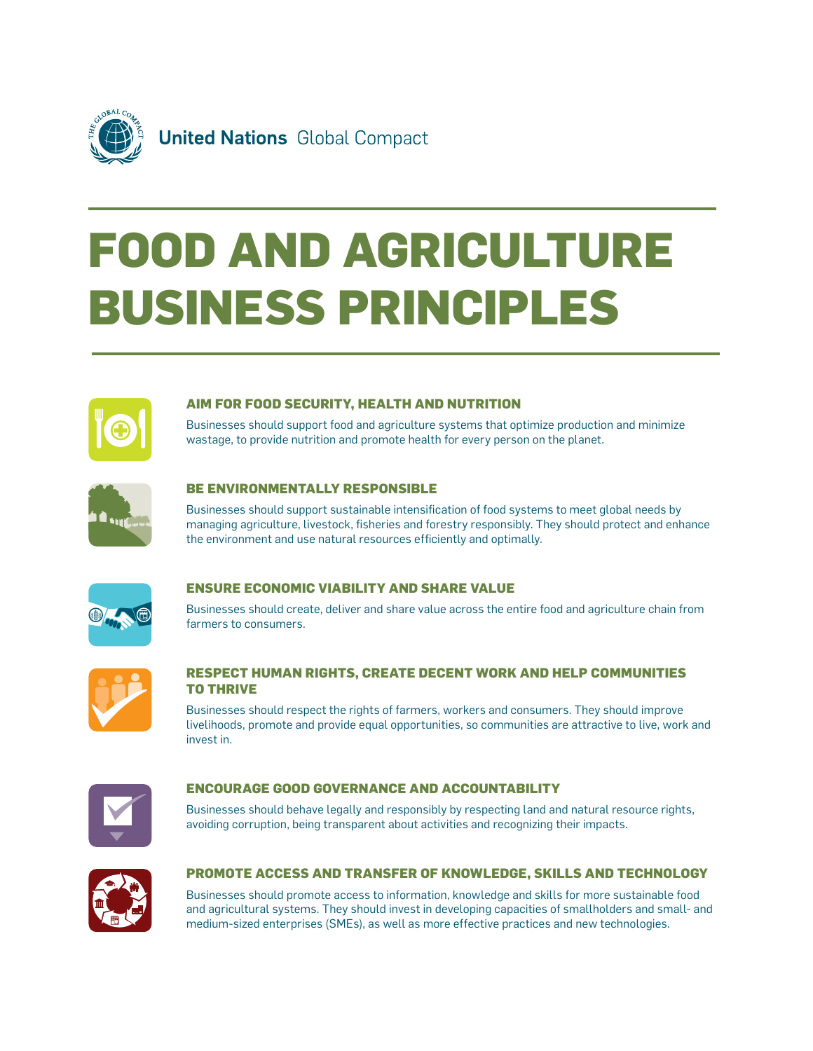

# **Food and Agriculture Business Principles**

### **AIM FOR FOOD SECURITY, HEALTH AND NUTRITION**

Businesses should support food and agriculture systems that optimize production and minimize wastage, to provide nutrition and promote health for every person on the planet.

| ű٣ |
|----|
|    |

#### **BE ENVIRONMENTALLY RESPONSIBLE**

Businesses should support sustainable intensification of food systems to meet global needs by managing agriculture, livestock, fisheries and forestry responsibly. They should protect and enhance the environment and use natural resources efficiently and optimally.



#### **ENSURE ECONOMIC VIABILITY AND SHARE VALUE**

Businesses should create, deliver and share value across the entire food and agriculture chain from farmers to consumers.



#### **RESPECT HUMAN RIGHTS, CREATE DECENT WORK AND HELP COMMUNITIES TO THRIVE**

Businesses should respect the rights of farmers, workers and consumers. They should improve livelihoods, promote and provide equal opportunities, so communities are attractive to live, work and invest in.



#### **ENCOURAGE GOOD GOVERNANCE AND ACCOUNTABILITY**

Businesses should behave legally and responsibly by respecting land and natural resource rights, avoiding corruption, being transparent about activities and recognizing their impacts.



# **PROMOTE ACCESS AND TRANSFER OF KNOWLEDGE, SKILLS AND TECHNOLOGY**

Businesses should promote access to information, knowledge and skills for more sustainable food and agricultural systems. They should invest in developing capacities of smallholders and small- and medium-sized enterprises (SMEs), as well as more effective practices and new technologies.